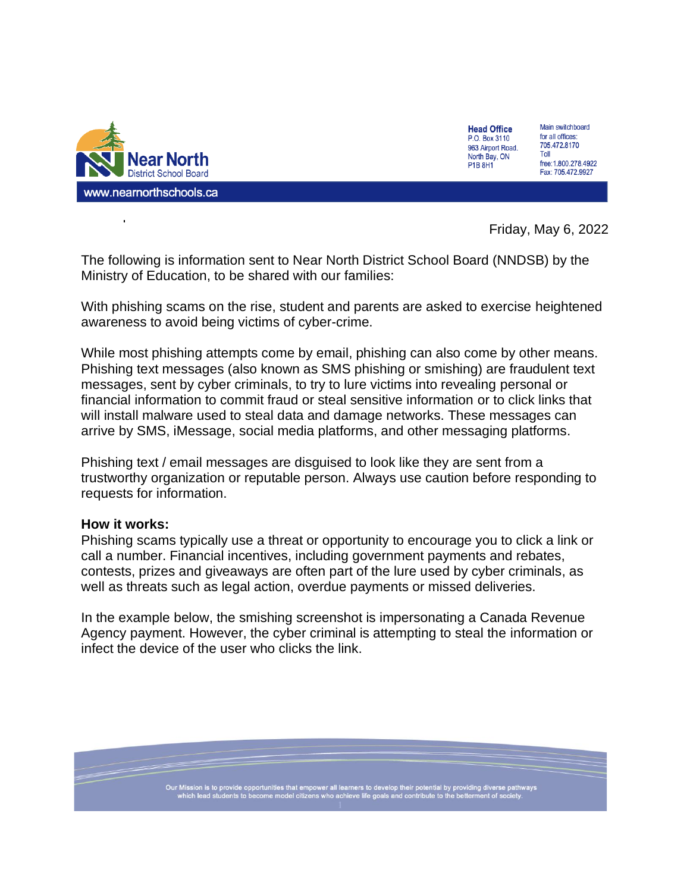

| <b>Head Office</b> | Main <sub>s</sub> |
|--------------------|-------------------|
| P.O. Box 3110      | for all o         |
| 963 Airport Road.  | 705.47            |
| North Bay, ON      | Toll              |
| P1B 8H1            | free:1.8          |
|                    | Fax: 7            |

aa k witchboard offices: 2.8170 800.278.4922 05.472.9927

Friday, May 6, 2022

The following is information sent to Near North District School Board (NNDSB) by the Ministry of Education, to be shared with our families:

With phishing scams on the rise, student and parents are asked to exercise heightened awareness to avoid being victims of cyber-crime.

While most phishing attempts come by email, phishing can also come by other means. Phishing text messages (also known as SMS phishing or smishing) are fraudulent text messages, sent by cyber criminals, to try to lure victims into revealing personal or financial information to commit fraud or steal sensitive information or to click links that will install malware used to steal data and damage networks. These messages can arrive by SMS, iMessage, social media platforms, and other messaging platforms.

Phishing text / email messages are disguised to look like they are sent from a trustworthy organization or reputable person. Always use caution before responding to requests for information.

## **How it works:**

Phishing scams typically use a threat or opportunity to encourage you to click a link or call a number. Financial incentives, including government payments and rebates, contests, prizes and giveaways are often part of the lure used by cyber criminals, as well as threats such as legal action, overdue payments or missed deliveries.

In the example below, the smishing screenshot is impersonating a Canada Revenue Agency payment. However, the cyber criminal is attempting to steal the information or infect the device of the user who clicks the link.